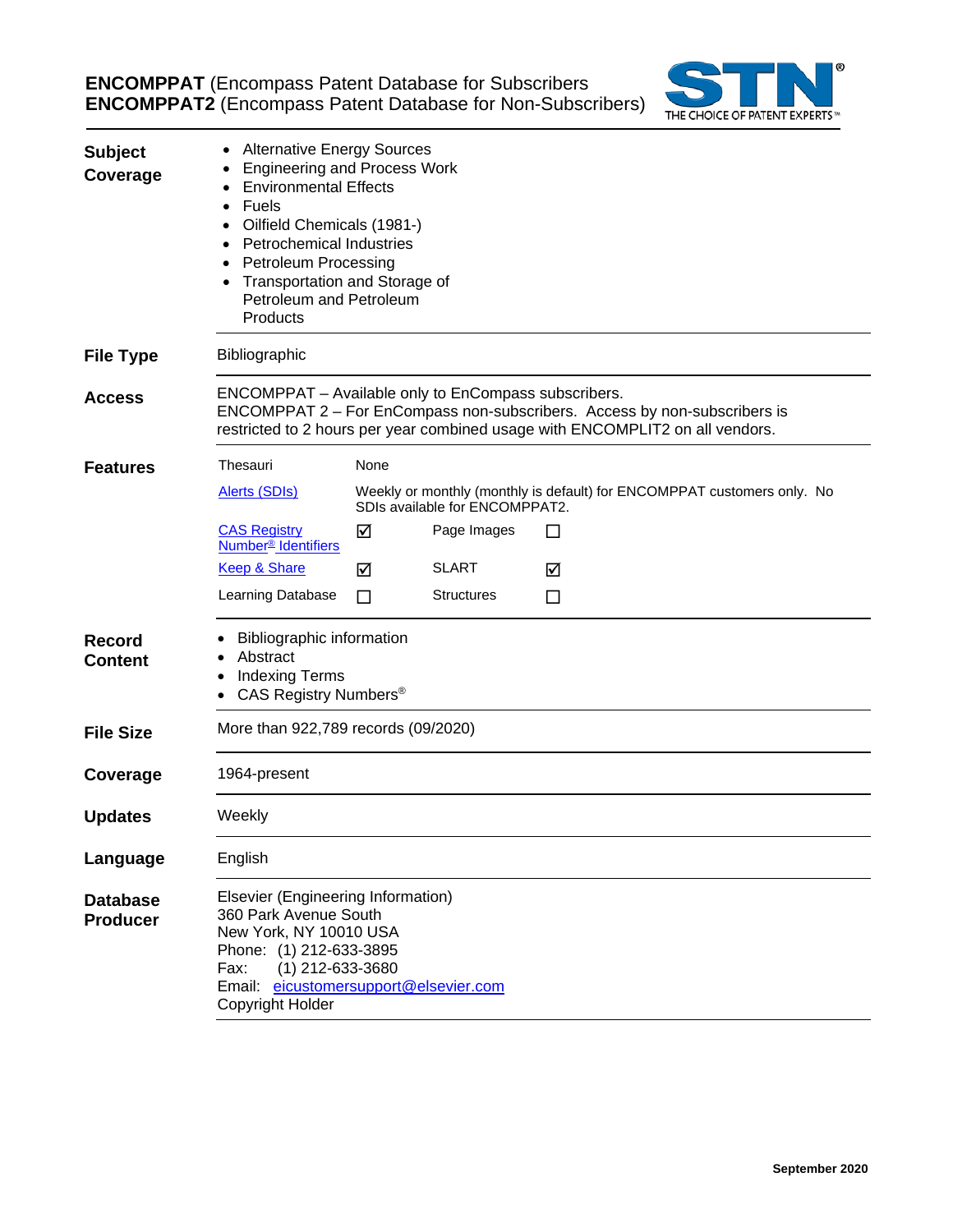**ENCOMPPAT** (Encompass Patent Database for Subscribers **ENCOMPPAT2** (Encompass Patent Database for Non-Subscribers)



| <b>Subject</b><br>Coverage         | <b>Alternative Energy Sources</b><br><b>Engineering and Process Work</b><br><b>Environmental Effects</b><br>Fuels<br>Oilfield Chemicals (1981-)<br><b>Petrochemical Industries</b><br><b>Petroleum Processing</b><br>Transportation and Storage of<br>Petroleum and Petroleum<br>Products |      |                   |    |  |  |  |
|------------------------------------|-------------------------------------------------------------------------------------------------------------------------------------------------------------------------------------------------------------------------------------------------------------------------------------------|------|-------------------|----|--|--|--|
| <b>File Type</b>                   | Bibliographic                                                                                                                                                                                                                                                                             |      |                   |    |  |  |  |
| <b>Access</b>                      | ENCOMPPAT - Available only to EnCompass subscribers.<br>ENCOMPPAT 2 - For EnCompass non-subscribers. Access by non-subscribers is<br>restricted to 2 hours per year combined usage with ENCOMPLIT2 on all vendors.                                                                        |      |                   |    |  |  |  |
| <b>Features</b>                    | Thesauri                                                                                                                                                                                                                                                                                  | None |                   |    |  |  |  |
|                                    | Weekly or monthly (monthly is default) for ENCOMPPAT customers only. No<br><b>Alerts (SDIs)</b><br>SDIs available for ENCOMPPAT2.                                                                                                                                                         |      |                   |    |  |  |  |
|                                    | <b>CAS Registry</b><br>Number <sup>®</sup> Identifiers                                                                                                                                                                                                                                    | ☑    | Page Images       | ΙI |  |  |  |
|                                    | <b>Keep &amp; Share</b>                                                                                                                                                                                                                                                                   | ⊠    | <b>SLART</b>      | ☑  |  |  |  |
|                                    | Learning Database                                                                                                                                                                                                                                                                         | П    | <b>Structures</b> | ப  |  |  |  |
| <b>Record</b><br><b>Content</b>    | <b>Bibliographic information</b><br>Abstract<br><b>Indexing Terms</b><br>CAS Registry Numbers <sup>®</sup>                                                                                                                                                                                |      |                   |    |  |  |  |
| <b>File Size</b>                   | More than 922,789 records (09/2020)                                                                                                                                                                                                                                                       |      |                   |    |  |  |  |
| Coverage                           | 1964-present                                                                                                                                                                                                                                                                              |      |                   |    |  |  |  |
| <b>Updates</b>                     | Weekly                                                                                                                                                                                                                                                                                    |      |                   |    |  |  |  |
| Language                           | English                                                                                                                                                                                                                                                                                   |      |                   |    |  |  |  |
| <b>Database</b><br><b>Producer</b> | Elsevier (Engineering Information)<br>360 Park Avenue South<br>New York, NY 10010 USA<br>Phone: (1) 212-633-3895<br>Fax:<br>(1) 212-633-3680<br>Email: eicustomersupport@elsevier.com<br>Copyright Holder                                                                                 |      |                   |    |  |  |  |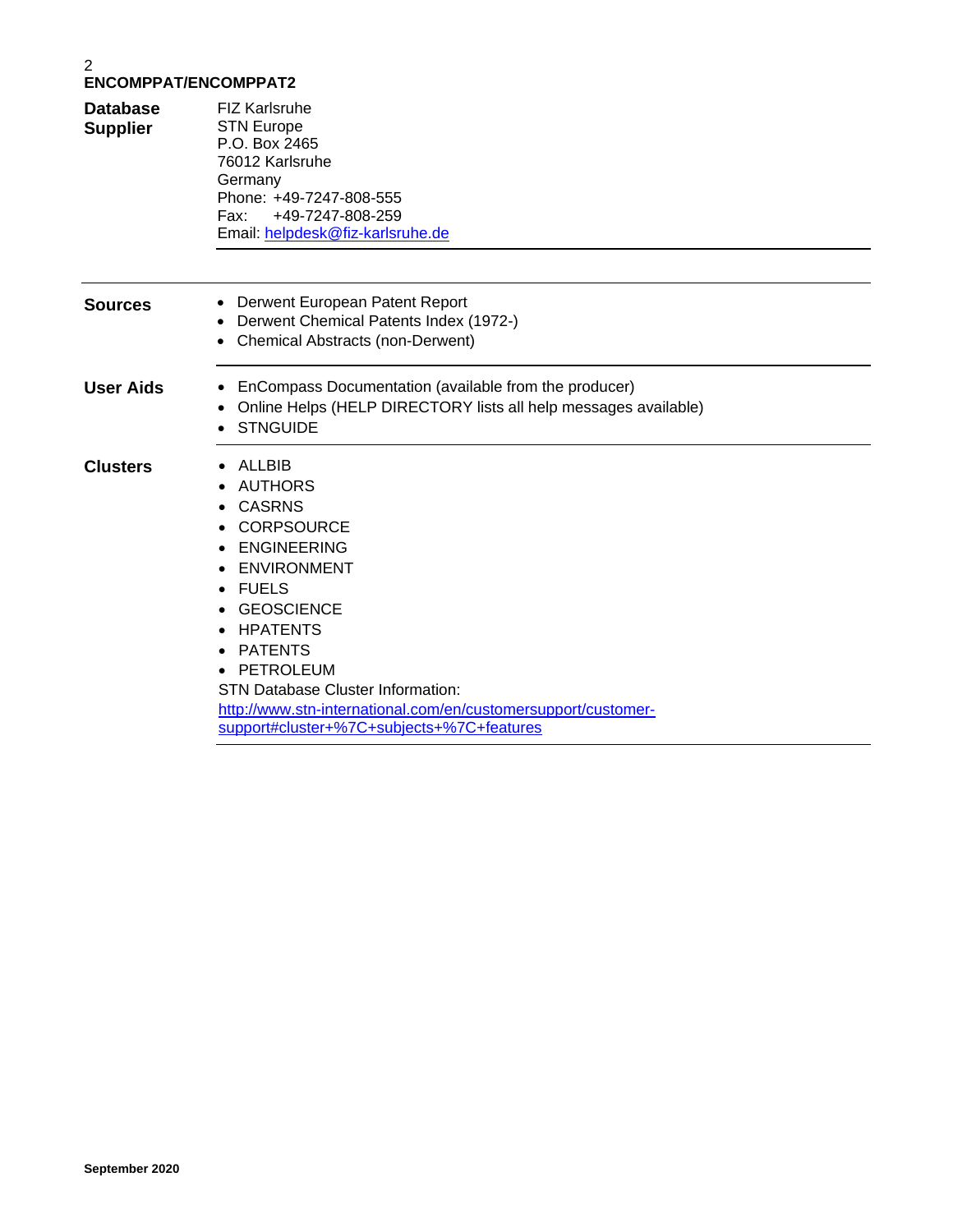| <b>Database</b><br><b>Supplier</b> | <b>FIZ Karlsruhe</b><br><b>STN Europe</b><br>P.O. Box 2465<br>76012 Karlsruhe<br>Germany<br>Phone: +49-7247-808-555<br>+49-7247-808-259<br>Fax:<br>Email: helpdesk@fiz-karlsruhe.de                                                                                                                                                                                                                       |
|------------------------------------|-----------------------------------------------------------------------------------------------------------------------------------------------------------------------------------------------------------------------------------------------------------------------------------------------------------------------------------------------------------------------------------------------------------|
| <b>Sources</b>                     | Derwent European Patent Report<br>$\bullet$<br>Derwent Chemical Patents Index (1972-)<br><b>Chemical Abstracts (non-Derwent)</b><br>$\bullet$                                                                                                                                                                                                                                                             |
| <b>User Aids</b>                   | EnCompass Documentation (available from the producer)<br>Online Helps (HELP DIRECTORY lists all help messages available)<br><b>STNGUIDE</b>                                                                                                                                                                                                                                                               |
| <b>Clusters</b>                    | ALLBIB<br><b>AUTHORS</b><br>$\bullet$<br><b>CASRNS</b><br><b>CORPSOURCE</b><br><b>ENGINEERING</b><br><b>ENVIRONMENT</b><br><b>FUELS</b><br>$\bullet$<br><b>GEOSCIENCE</b><br><b>HPATENTS</b><br><b>PATENTS</b><br>$\bullet$<br><b>PETROLEUM</b><br><b>STN Database Cluster Information:</b><br>http://www.stn-international.com/en/customersupport/customer-<br>support#cluster+%7C+subjects+%7C+features |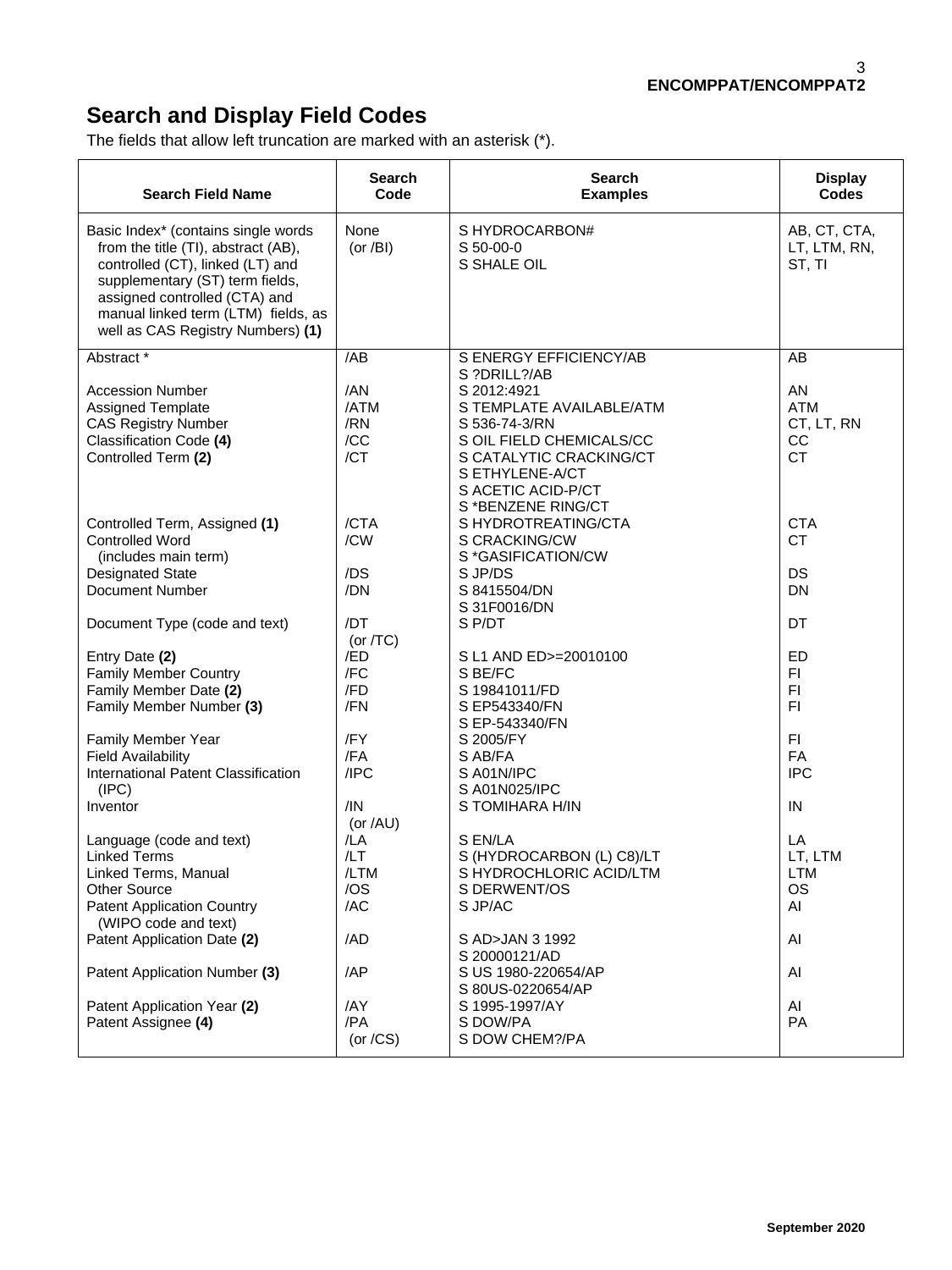# **Search and Display Field Codes**

The fields that allow left truncation are marked with an asterisk (\*).

| <b>Search Field Name</b>                                                                                                                                                                                                                                       | <b>Search</b><br>Code            | <b>Search</b><br><b>Examples</b>                                                                                                                                                               | <b>Display</b><br><b>Codes</b>                    |
|----------------------------------------------------------------------------------------------------------------------------------------------------------------------------------------------------------------------------------------------------------------|----------------------------------|------------------------------------------------------------------------------------------------------------------------------------------------------------------------------------------------|---------------------------------------------------|
| Basic Index* (contains single words<br>from the title (TI), abstract (AB),<br>controlled (CT), linked (LT) and<br>supplementary (ST) term fields,<br>assigned controlled (CTA) and<br>manual linked term (LTM) fields, as<br>well as CAS Registry Numbers) (1) | None<br>(or $/BI$ )              | S HYDROCARBON#<br>S 50-00-0<br>S SHALE OIL                                                                                                                                                     | AB, CT, CTA,<br>LT, LTM, RN,<br>ST, TI            |
| Abstract <sup>*</sup>                                                                                                                                                                                                                                          | /AB                              | S ENERGY EFFICIENCY/AB                                                                                                                                                                         | AB                                                |
| <b>Accession Number</b><br>Assigned Template<br><b>CAS Registry Number</b><br>Classification Code (4)<br>Controlled Term (2)                                                                                                                                   | /AN<br>/ATM<br>/RN<br>/CC<br>/CT | S ?DRILL?/AB<br>S 2012:4921<br>S TEMPLATE AVAILABLE/ATM<br>S 536-74-3/RN<br>S OIL FIELD CHEMICALS/CC<br>S CATALYTIC CRACKING/CT<br>S ETHYLENE-A/CT<br>S ACETIC ACID-P/CT<br>S *BENZENE RING/CT | AN<br><b>ATM</b><br>CT, LT, RN<br>CC<br><b>CT</b> |
| Controlled Term, Assigned (1)<br><b>Controlled Word</b><br>(includes main term)                                                                                                                                                                                | /CTA<br>/CW                      | S HYDROTREATING/CTA<br>S CRACKING/CW<br>S *GASIFICATION/CW                                                                                                                                     | <b>CTA</b><br><b>CT</b>                           |
| <b>Designated State</b><br><b>Document Number</b>                                                                                                                                                                                                              | /DS<br>/DN                       | S JP/DS<br>S 8415504/DN<br>S 31F0016/DN                                                                                                                                                        | DS<br><b>DN</b>                                   |
| Document Type (code and text)                                                                                                                                                                                                                                  | /DT<br>(or $/TC$ )               | S P/DT                                                                                                                                                                                         | DT                                                |
| Entry Date (2)<br><b>Family Member Country</b><br>Family Member Date (2)<br>Family Member Number (3)                                                                                                                                                           | /ED<br>/FC<br>/FD<br>/FN         | S L1 AND ED>=20010100<br>S BE/FC<br>S 19841011/FD<br>S EP543340/FN<br>S EP-543340/FN                                                                                                           | <b>ED</b><br>FI<br>F <sub>1</sub><br>F1           |
| Family Member Year<br><b>Field Availability</b><br>International Patent Classification                                                                                                                                                                         | /FY<br>/FA<br>/IPC               | S 2005/FY<br>S AB/FA<br>S A01N/IPC                                                                                                                                                             | FI<br>FA<br><b>IPC</b>                            |
| (IPC)<br>Inventor                                                                                                                                                                                                                                              | /IN<br>(or $/AU$ )               | S A01N025/IPC<br>S TOMIHARA H/IN                                                                                                                                                               | IN                                                |
| Language (code and text)<br><b>Linked Terms</b><br>Linked Terms, Manual<br><b>Other Source</b><br><b>Patent Application Country</b><br>(WIPO code and text)                                                                                                    | /LA<br>/LT<br>/LTM<br>/OS<br>/AC | S EN/LA<br>S (HYDROCARBON (L) C8)/LT<br>S HYDROCHLORIC ACID/LTM<br>S DERWENT/OS<br>S JP/AC                                                                                                     | LA<br>LT, LTM<br><b>LTM</b><br><b>OS</b><br>AI    |
| Patent Application Date (2)                                                                                                                                                                                                                                    | /AD                              | S AD>JAN 3 1992<br>S 20000121/AD                                                                                                                                                               | Al                                                |
| Patent Application Number (3)                                                                                                                                                                                                                                  | /AP                              | S US 1980-220654/AP<br>S 80US-0220654/AP                                                                                                                                                       | AI                                                |
| Patent Application Year (2)<br>Patent Assignee (4)                                                                                                                                                                                                             | /AY<br>/PA<br>(or $/CS$ )        | S 1995-1997/AY<br>S DOW/PA<br>S DOW CHEM?/PA                                                                                                                                                   | AI<br>PA                                          |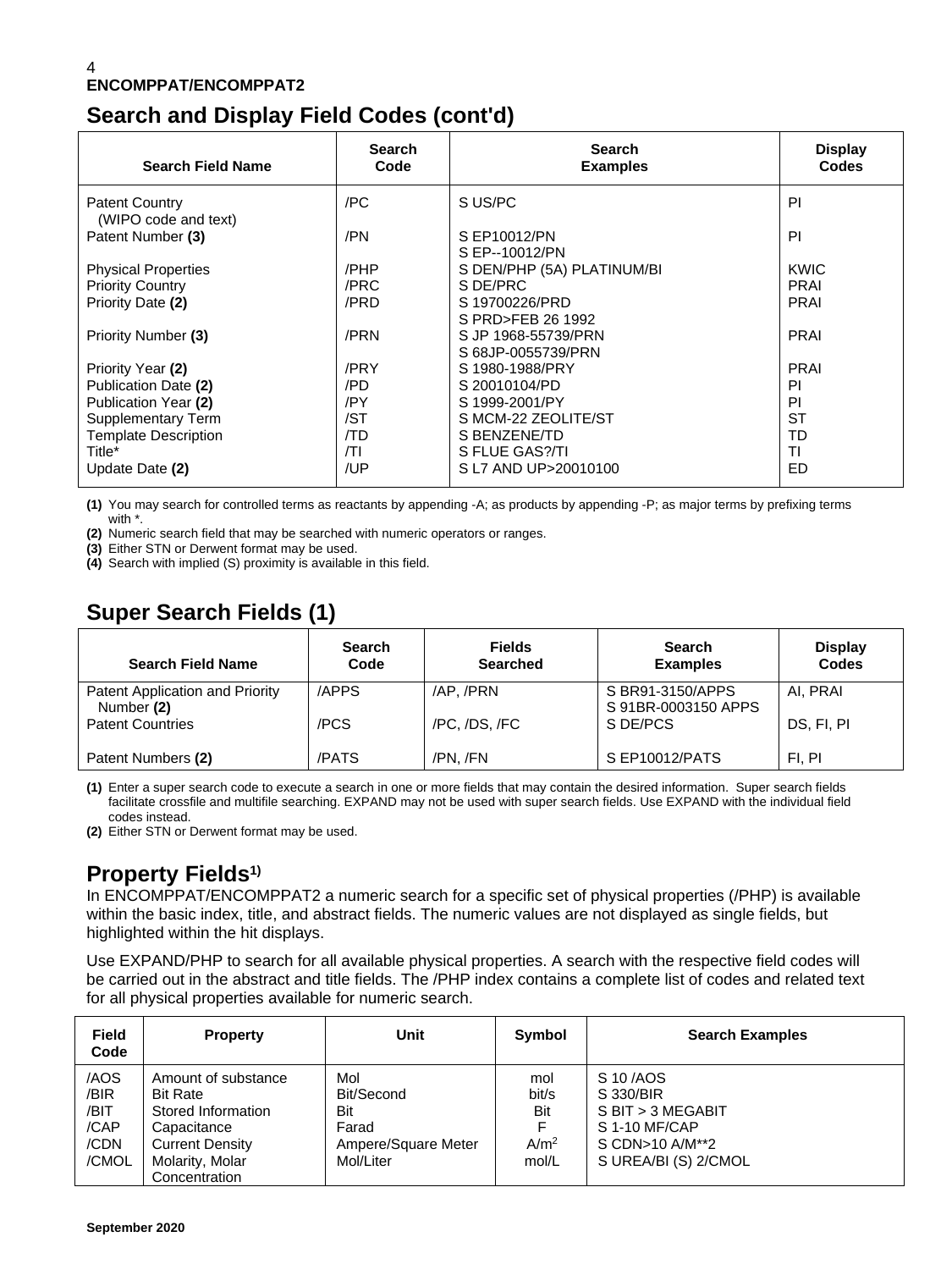## **Search and Display Field Codes (cont'd)**

| <b>Search Field Name</b>                      | <b>Search</b><br>Code | <b>Search</b><br><b>Examples</b>          | <b>Display</b><br>Codes |
|-----------------------------------------------|-----------------------|-------------------------------------------|-------------------------|
| <b>Patent Country</b><br>(WIPO code and text) | /PC                   | S US/PC                                   | PI                      |
| Patent Number (3)                             | /PN                   | S EP10012/PN<br>S EP--10012/PN            | PI                      |
| <b>Physical Properties</b>                    | /PHP                  | S DEN/PHP (5A) PLATINUM/BI                | KWIC                    |
| <b>Priority Country</b>                       | /PRC                  | S DE/PRC                                  | <b>PRAI</b>             |
| Priority Date (2)                             | /PRD                  | S 19700226/PRD<br>S PRD>FEB 26 1992       | <b>PRAI</b>             |
| <b>Priority Number (3)</b>                    | /PRN                  | S JP 1968-55739/PRN<br>S 68JP-0055739/PRN | <b>PRAI</b>             |
| Priority Year (2)                             | /PRY                  | S 1980-1988/PRY                           | <b>PRAI</b>             |
| Publication Date (2)                          | /PD                   | S 20010104/PD                             | PI                      |
| Publication Year (2)                          | /PY                   | S 1999-2001/PY                            | PI                      |
| Supplementary Term                            | /ST                   | S MCM-22 ZEOLITE/ST                       | <b>ST</b>               |
| <b>Template Description</b>                   | /TD                   | S BENZENE/TD                              | <b>TD</b>               |
| Title*                                        | T                     | S FLUE GAS?/TI                            | TI                      |
| Update Date (2)                               | /UP                   | SL7 AND UP>20010100                       | ED                      |

**(1)** You may search for controlled terms as reactants by appending -A; as products by appending -P; as major terms by prefixing terms with \*.

**(2)** Numeric search field that may be searched with numeric operators or ranges.

**(3)** Either STN or Derwent format may be used.

**(4)** Search with implied (S) proximity is available in this field.

# **Super Search Fields (1)**

| <b>Search Field Name</b>                      | <b>Search</b><br>Code | <b>Fields</b><br><b>Searched</b> | <b>Search</b><br><b>Examples</b>        | <b>Display</b><br>Codes |
|-----------------------------------------------|-----------------------|----------------------------------|-----------------------------------------|-------------------------|
| Patent Application and Priority<br>Number (2) | /APPS                 | /AP./PRN                         | S BR91-3150/APPS<br>S 91BR-0003150 APPS | AI. PRAI                |
| <b>Patent Countries</b>                       | /PCS                  | /PC, /DS, /FC                    | S DE/PCS                                | DS, FI, PI              |
| Patent Numbers (2)                            | /PATS                 | /PN./FN                          | S EP10012/PATS                          | FI. PI                  |

**(1)** Enter a super search code to execute a search in one or more fields that may contain the desired information. Super search fields facilitate crossfile and multifile searching. EXPAND may not be used with super search fields. Use EXPAND with the individual field codes instead.

**(2)** Either STN or Derwent format may be used.

## **Property Fields1)**

In ENCOMPPAT/ENCOMPPAT2 a numeric search for a specific set of physical properties (/PHP) is available within the basic index, title, and abstract fields. The numeric values are not displayed as single fields, but highlighted within the hit displays.

Use EXPAND/PHP to search for all available physical properties. A search with the respective field codes will be carried out in the abstract and title fields. The /PHP index contains a complete list of codes and related text for all physical properties available for numeric search.

| <b>Field</b><br>Code                          | <b>Property</b>                                                                                                                           | Unit                                                                  | Symbol                                                | <b>Search Examples</b>                                                                                 |
|-----------------------------------------------|-------------------------------------------------------------------------------------------------------------------------------------------|-----------------------------------------------------------------------|-------------------------------------------------------|--------------------------------------------------------------------------------------------------------|
| /AOS<br>/BIR<br>/BIT<br>/CAP<br>/CDN<br>/CMOL | Amount of substance<br><b>Bit Rate</b><br>Stored Information<br>Capacitance<br><b>Current Density</b><br>Molarity, Molar<br>Concentration | Mol<br>Bit/Second<br>Bit<br>Farad<br>Ampere/Square Meter<br>Mol/Liter | mol<br>bit/s<br>Bit<br>F<br>A/m <sup>2</sup><br>mol/L | S 10/AOS<br>S 330/BIR<br>S BIT > 3 MEGABIT<br>S 1-10 MF/CAP<br>S CDN>10 A/M**2<br>S UREA/BI (S) 2/CMOL |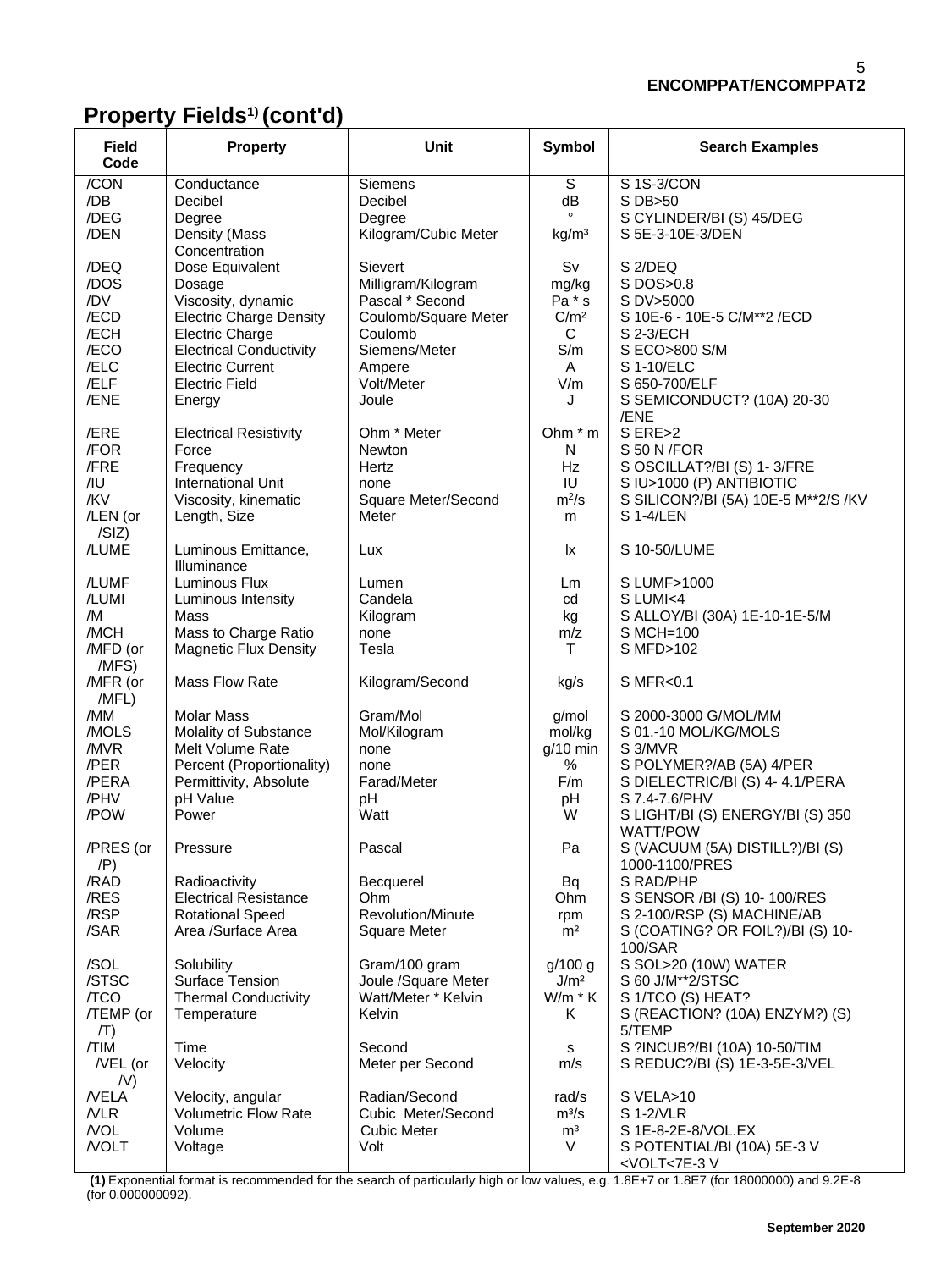# **Property Fields1) (cont'd)**

| <b>Field</b><br>Code | <b>Property</b>                                         | Unit                                  | Symbol                     | <b>Search Examples</b>                                    |  |
|----------------------|---------------------------------------------------------|---------------------------------------|----------------------------|-----------------------------------------------------------|--|
| /CON                 | Conductance                                             | <b>Siemens</b>                        | S                          | S 1S-3/CON                                                |  |
| /DB<br>/DEG          | Decibel<br>Degree                                       | Decibel<br>Degree                     | dB<br>$\circ$              | S DB>50<br>S CYLINDER/BI (S) 45/DEG                       |  |
| /DEN                 | Density (Mass<br>Concentration                          | Kilogram/Cubic Meter                  | kg/m <sup>3</sup>          | S 5E-3-10E-3/DEN                                          |  |
| /DEQ                 | Dose Equivalent                                         | Sievert                               | Sv                         | S <sub>2</sub> /DEQ                                       |  |
| /DOS<br>/DV          | Dosage                                                  | Milligram/Kilogram<br>Pascal * Second | mg/kg                      | S DOS>0.8                                                 |  |
| /ECD                 | Viscosity, dynamic<br><b>Electric Charge Density</b>    | Coulomb/Square Meter                  | Pa * s<br>C/m <sup>2</sup> | S DV>5000<br>S 10E-6 - 10E-5 C/M**2 / ECD                 |  |
| /ECH                 | <b>Electric Charge</b>                                  | Coulomb                               | C                          | S 2-3/ECH                                                 |  |
| /ECO                 | <b>Electrical Conductivity</b>                          | Siemens/Meter                         | S/m                        | S ECO>800 S/M                                             |  |
| /ELC<br>/ELF         | <b>Electric Current</b><br><b>Electric Field</b>        | Ampere<br>Volt/Meter                  | A<br>V/m                   | S 1-10/ELC<br>S 650-700/ELF                               |  |
| /ENE                 | Energy                                                  | Joule                                 | J                          | S SEMICONDUCT? (10A) 20-30                                |  |
|                      |                                                         |                                       |                            | /ENE                                                      |  |
| /ERE                 | <b>Electrical Resistivity</b>                           | Ohm * Meter                           | Ohm * m                    | S ERE>2                                                   |  |
| /FOR<br>/FRE         | Force<br>Frequency                                      | <b>Newton</b><br>Hertz                | N<br>Hz                    | S 50 N / FOR<br>S OSCILLAT?/BI (S) 1-3/FRE                |  |
| /1U                  | International Unit                                      | none                                  | IU                         | S IU>1000 (P) ANTIBIOTIC                                  |  |
| /KV                  | Viscosity, kinematic                                    | Square Meter/Second                   | $m^2/s$                    | S SILICON?/BI (5A) 10E-5 M**2/S /KV                       |  |
| /LEN (or<br>/SIZ)    | Length, Size                                            | Meter                                 | m                          | S 1-4/LEN                                                 |  |
| /LUME                | Luminous Emittance,<br>Illuminance                      | Lux                                   | lx                         | S 10-50/LUME                                              |  |
| /LUMF                | Luminous Flux                                           | Lumen                                 | Lm                         | S LUMF>1000                                               |  |
| /LUMI                | Luminous Intensity                                      | Candela                               | cd                         | S LUMI<4                                                  |  |
| /M<br>/MCH           | Mass<br>Mass to Charge Ratio                            | Kilogram<br>none                      | kg<br>m/z                  | S ALLOY/BI (30A) 1E-10-1E-5/M<br>S MCH=100                |  |
| /MFD (or<br>/MFS)    | <b>Magnetic Flux Density</b>                            | Tesla                                 | т                          | S MFD>102                                                 |  |
| /MFR (or<br>/MFL)    | Mass Flow Rate                                          | Kilogram/Second                       | kg/s                       | S MFR<0.1                                                 |  |
| /MM                  | <b>Molar Mass</b>                                       | Gram/Mol                              | g/mol                      | S 2000-3000 G/MOL/MM                                      |  |
| /MOLS<br>/MVR        | Molality of Substance<br>Melt Volume Rate               | Mol/Kilogram<br>none                  | mol/kg<br>$g/10$ min       | S 01.-10 MOL/KG/MOLS<br>S 3/MVR                           |  |
| /PER                 | Percent (Proportionality)                               | none                                  | $\%$                       | S POLYMER?/AB (5A) 4/PER                                  |  |
| /PERA                | Permittivity, Absolute                                  | Farad/Meter                           | F/m                        | S DIELECTRIC/BI (S) 4-4.1/PERA                            |  |
| /PHV                 | pH Value                                                | pH                                    | pH                         | S 7.4-7.6/PHV                                             |  |
| /POW                 | Power                                                   | Watt                                  | W                          | S LIGHT/BI (S) ENERGY/BI (S) 350<br><b>WATT/POW</b>       |  |
| /PRES (or<br>(P)     | Pressure                                                | Pascal                                | Pa                         | S (VACUUM (5A) DISTILL?)/BI (S)<br>1000-1100/PRES         |  |
| /RAD                 | Radioactivity                                           | Becquerel                             | <b>Bq</b>                  | S RAD/PHP                                                 |  |
| /RES<br>/RSP         | <b>Electrical Resistance</b><br><b>Rotational Speed</b> | Ohm<br>Revolution/Minute              | Ohm                        | S SENSOR /BI (S) 10-100/RES<br>S 2-100/RSP (S) MACHINE/AB |  |
| /SAR                 | Area /Surface Area                                      | <b>Square Meter</b>                   | rpm<br>m <sup>2</sup>      | S (COATING? OR FOIL?)/BI (S) 10-<br>100/SAR               |  |
| /SOL                 | Solubility                                              | Gram/100 gram                         | g/100 g                    | S SOL>20 (10W) WATER                                      |  |
| /STSC                | Surface Tension                                         | Joule /Square Meter                   | J/m <sup>2</sup>           | S 60 J/M**2/STSC                                          |  |
| /TCO<br>/TEMP (or    | <b>Thermal Conductivity</b><br>Temperature              | Watt/Meter * Kelvin<br>Kelvin         | $W/m * K$<br>Κ             | S 1/TCO (S) HEAT?<br>S (REACTION? (10A) ENZYM?) (S)       |  |
| (T)                  |                                                         |                                       |                            | 5/TEMP                                                    |  |
| /TIM                 | Time                                                    | Second                                | s                          | S ?INCUB?/BI (10A) 10-50/TIM                              |  |
| $/$ VEL (or<br>/V)   | Velocity                                                | Meter per Second                      | m/s                        | S REDUC?/BI (S) 1E-3-5E-3/VEL                             |  |
| /VELA                | Velocity, angular                                       | Radian/Second                         | rad/s                      | S VELA>10                                                 |  |
| /VLR                 | <b>Volumetric Flow Rate</b>                             | Cubic Meter/Second                    | $m^3/s$                    | S 1-2/VLR                                                 |  |
| /VOL<br>/VOLT        | Volume<br>Voltage                                       | <b>Cubic Meter</b><br>Volt            | m <sup>3</sup><br>V        | S 1E-8-2E-8/VOL.EX<br>S POTENTIAL/BI (10A) 5E-3 V         |  |
|                      |                                                         |                                       |                            | <volt<7e-3v< td=""></volt<7e-3v<>                         |  |

**(1)** Exponential format is recommended for the search of particularly high or low values, e.g. 1.8E+7 or 1.8E7 (for 18000000) and 9.2E-8 (for 0.000000092).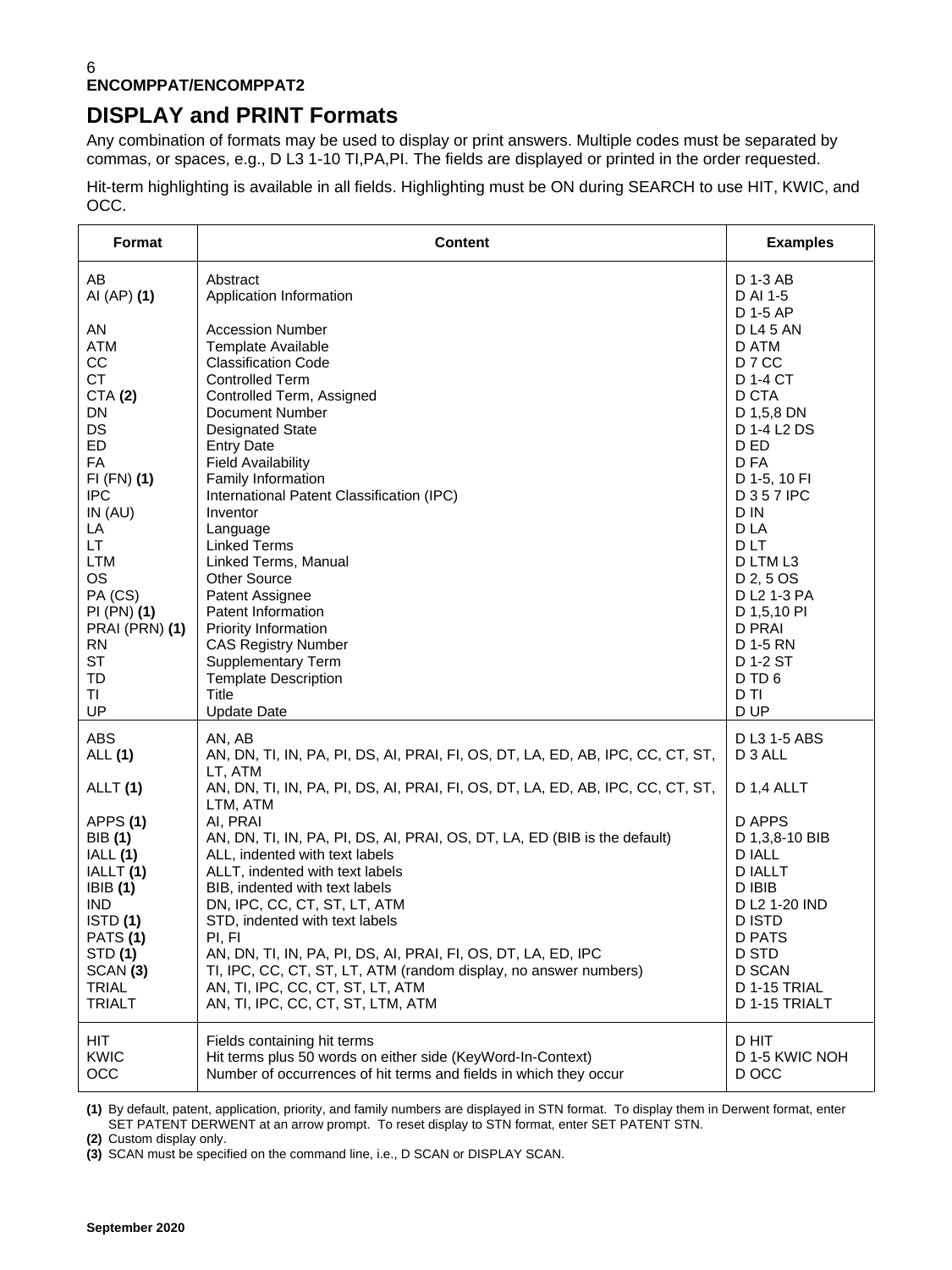## **DISPLAY and PRINT Formats**

Any combination of formats may be used to display or print answers. Multiple codes must be separated by commas, or spaces, e.g., D L3 1-10 TI,PA,PI. The fields are displayed or printed in the order requested.

Hit-term highlighting is available in all fields. Highlighting must be ON during SEARCH to use HIT, KWIC, and OCC.

| Format                                                                                                                                                                                                                                           | <b>Content</b>                                                                                                                                                                                                                                                                                                                                                                                                                                                                                                                                                                                  | <b>Examples</b>                                                                                                                                                                                                                                                                            |
|--------------------------------------------------------------------------------------------------------------------------------------------------------------------------------------------------------------------------------------------------|-------------------------------------------------------------------------------------------------------------------------------------------------------------------------------------------------------------------------------------------------------------------------------------------------------------------------------------------------------------------------------------------------------------------------------------------------------------------------------------------------------------------------------------------------------------------------------------------------|--------------------------------------------------------------------------------------------------------------------------------------------------------------------------------------------------------------------------------------------------------------------------------------------|
| AB                                                                                                                                                                                                                                               | Abstract                                                                                                                                                                                                                                                                                                                                                                                                                                                                                                                                                                                        | D 1-3 AB                                                                                                                                                                                                                                                                                   |
| AI (AP) (1)                                                                                                                                                                                                                                      | Application Information                                                                                                                                                                                                                                                                                                                                                                                                                                                                                                                                                                         | D AI 1-5                                                                                                                                                                                                                                                                                   |
| AN<br>ATM<br>CC<br><b>CT</b><br><b>CTA (2)</b><br>DN<br>DS<br><b>ED</b><br><b>FA</b><br>$FI$ (FN) (1)<br><b>IPC</b><br>IN $(AU)$<br>LA<br>LT.<br>LTM<br><b>OS</b><br>PA (CS)<br>$PI(PN)$ $(1)$<br>PRAI (PRN) (1)<br><b>RN</b><br><b>ST</b><br>TD | <b>Accession Number</b><br>Template Available<br><b>Classification Code</b><br><b>Controlled Term</b><br>Controlled Term, Assigned<br>Document Number<br><b>Designated State</b><br><b>Entry Date</b><br><b>Field Availability</b><br>Family Information<br>International Patent Classification (IPC)<br>Inventor<br>Language<br><b>Linked Terms</b><br>Linked Terms, Manual<br>Other Source<br>Patent Assignee<br>Patent Information<br>Priority Information<br><b>CAS Registry Number</b><br><b>Supplementary Term</b><br><b>Template Description</b>                                         | D 1-5 AP<br><b>DL45 AN</b><br>D ATM<br>D 7 CC<br>D 1-4 CT<br>D CTA<br>D 1,5,8 DN<br>D 1-4 L2 DS<br>D ED<br>D FA<br>D 1-5, 10 FI<br><b>D357 IPC</b><br>D IN<br>D LA<br><b>DLT</b><br>D LTM L3<br>D 2, 5 OS<br>D L2 1-3 PA<br>D 1,5,10 PI<br><b>D PRAI</b><br>D 1-5 RN<br>D 1-2 ST<br>D TD 6 |
| TI                                                                                                                                                                                                                                               | Title                                                                                                                                                                                                                                                                                                                                                                                                                                                                                                                                                                                           | D TI                                                                                                                                                                                                                                                                                       |
| UP                                                                                                                                                                                                                                               | <b>Update Date</b>                                                                                                                                                                                                                                                                                                                                                                                                                                                                                                                                                                              | D UP                                                                                                                                                                                                                                                                                       |
| ABS                                                                                                                                                                                                                                              | AN, AB                                                                                                                                                                                                                                                                                                                                                                                                                                                                                                                                                                                          | D L3 1-5 ABS                                                                                                                                                                                                                                                                               |
| <b>ALL</b> (1)                                                                                                                                                                                                                                   | AN, DN, TI, IN, PA, PI, DS, AI, PRAI, FI, OS, DT, LA, ED, AB, IPC, CC, CT, ST,                                                                                                                                                                                                                                                                                                                                                                                                                                                                                                                  | D 3 ALL                                                                                                                                                                                                                                                                                    |
| ALLT (1)<br>APPS(1)<br><b>BIB</b> (1)<br>IALL (1)<br>IALLT (1)<br>IBIB(1)<br><b>IND</b><br>ISTD(1)<br>PATS(1)<br>STD (1)<br>SCAN (3)<br><b>TRIAL</b><br><b>TRIALT</b>                                                                            | LT, ATM<br>AN, DN, TI, IN, PA, PI, DS, AI, PRAI, FI, OS, DT, LA, ED, AB, IPC, CC, CT, ST,<br>LTM, ATM<br>AI, PRAI<br>AN, DN, TI, IN, PA, PI, DS, AI, PRAI, OS, DT, LA, ED (BIB is the default)<br>ALL, indented with text labels<br>ALLT, indented with text labels<br>BIB, indented with text labels<br>DN, IPC, CC, CT, ST, LT, ATM<br>STD, indented with text labels<br>PI, FI<br>AN, DN, TI, IN, PA, PI, DS, AI, PRAI, FI, OS, DT, LA, ED, IPC<br>TI, IPC, CC, CT, ST, LT, ATM (random display, no answer numbers)<br>AN, TI, IPC, CC, CT, ST, LT, ATM<br>AN, TI, IPC, CC, CT, ST, LTM, ATM | D 1,4 ALLT<br>D APPS<br>D 1,3,8-10 BIB<br><b>D IALL</b><br><b>DIALLT</b><br>D IBIB<br>D L2 1-20 IND<br><b>DISTD</b><br><b>D PATS</b><br>D STD<br><b>D SCAN</b><br>D 1-15 TRIAL<br>D 1-15 TRIALT                                                                                            |
| HIT                                                                                                                                                                                                                                              | Fields containing hit terms                                                                                                                                                                                                                                                                                                                                                                                                                                                                                                                                                                     | D HIT                                                                                                                                                                                                                                                                                      |
| <b>KWIC</b>                                                                                                                                                                                                                                      | Hit terms plus 50 words on either side (KeyWord-In-Context)                                                                                                                                                                                                                                                                                                                                                                                                                                                                                                                                     | D 1-5 KWIC NOH                                                                                                                                                                                                                                                                             |
| OCC                                                                                                                                                                                                                                              | Number of occurrences of hit terms and fields in which they occur                                                                                                                                                                                                                                                                                                                                                                                                                                                                                                                               | D OCC                                                                                                                                                                                                                                                                                      |

**(1)** By default, patent, application, priority, and family numbers are displayed in STN format. To display them in Derwent format, enter SET PATENT DERWENT at an arrow prompt. To reset display to STN format, enter SET PATENT STN.

**(2)** Custom display only.

**(3)** SCAN must be specified on the command line, i.e., D SCAN or DISPLAY SCAN.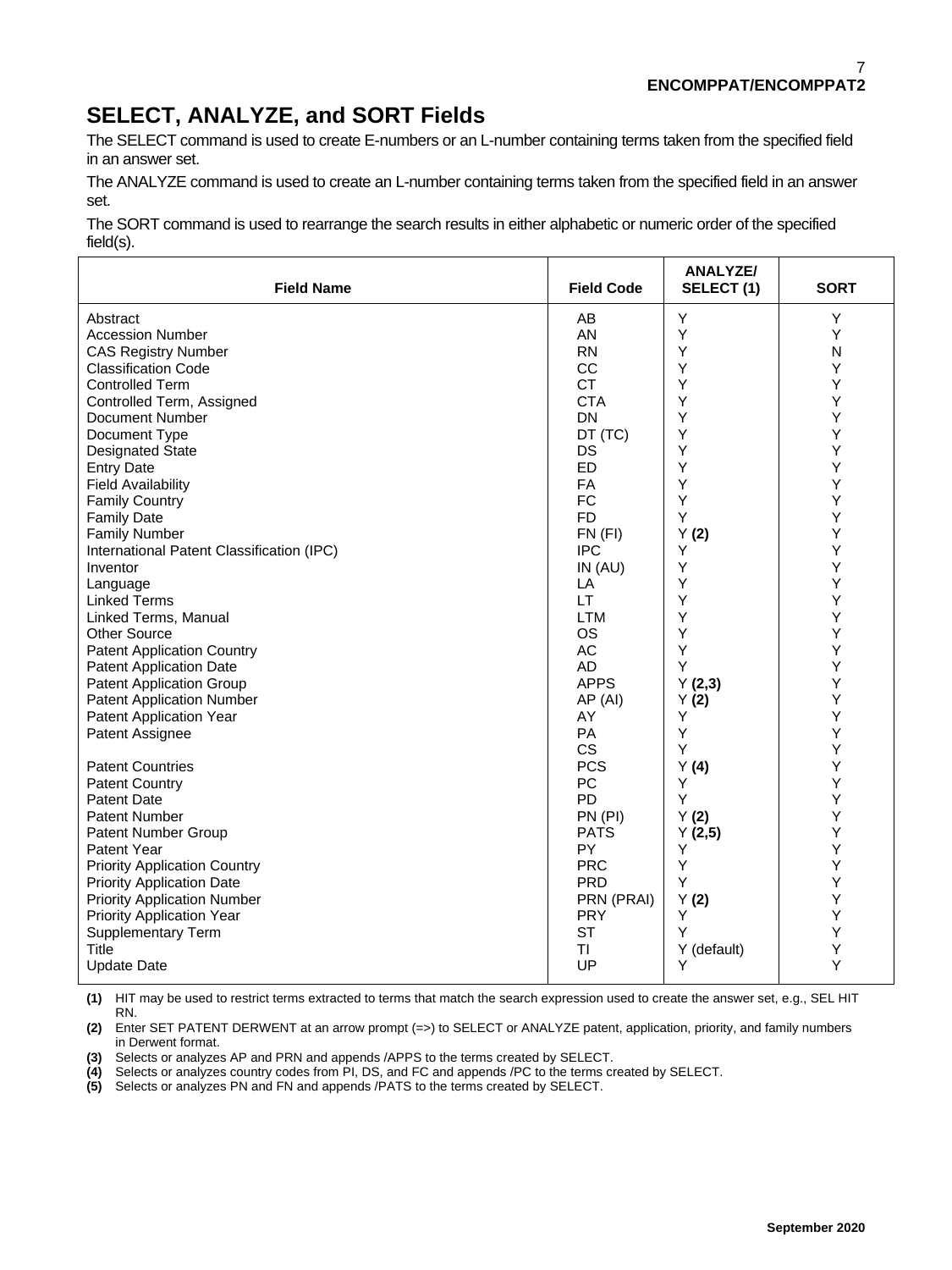# **SELECT, ANALYZE, and SORT Fields**

The SELECT command is used to create E-numbers or an L-number containing terms taken from the specified field in an answer set.

The ANALYZE command is used to create an L-number containing terms taken from the specified field in an answer set.

The SORT command is used to rearrange the search results in either alphabetic or numeric order of the specified field(s).

| <b>Field Name</b>                         | <b>Field Code</b> | <b>ANALYZE/</b><br>SELECT(1) | <b>SORT</b> |
|-------------------------------------------|-------------------|------------------------------|-------------|
| Abstract                                  | AB                | Υ                            | Y           |
| <b>Accession Number</b>                   | AN                | Υ                            | Y           |
| <b>CAS Registry Number</b>                | <b>RN</b>         | Y                            | N           |
| <b>Classification Code</b>                | CC                | Y                            | Y           |
| <b>Controlled Term</b>                    | <b>CT</b>         | Υ                            | Υ           |
| Controlled Term, Assigned                 | <b>CTA</b>        | Y                            | Υ           |
| Document Number                           | DN                | Y                            | Y           |
| Document Type                             | DT (TC)           | Y                            | Y           |
| <b>Designated State</b>                   | DS                | Υ                            | Υ           |
| <b>Entry Date</b>                         | ED                | Y                            | Υ           |
| <b>Field Availability</b>                 | <b>FA</b>         | Y                            | Y           |
| <b>Family Country</b>                     | <b>FC</b>         | Υ                            | Υ           |
| <b>Family Date</b>                        | <b>FD</b>         | Y                            | Υ           |
| <b>Family Number</b>                      | $FN$ $(FI)$       | Y(2)                         | Y           |
| International Patent Classification (IPC) | <b>IPC</b>        | Y                            | Y           |
| Inventor                                  | IN (AU)           | Υ                            | Υ           |
| Language                                  | LA                | Y                            | Υ           |
| <b>Linked Terms</b>                       | <b>LT</b>         | Y                            | Υ           |
| Linked Terms, Manual                      | <b>LTM</b>        | Υ                            | Υ           |
| <b>Other Source</b>                       | <b>OS</b>         | Υ                            | Υ           |
| <b>Patent Application Country</b>         | AC                | Υ                            | Y           |
| <b>Patent Application Date</b>            | AD                | Y                            | Y           |
| <b>Patent Application Group</b>           | <b>APPS</b>       | Y(2,3)                       | Υ           |
| <b>Patent Application Number</b>          | AP (AI)           | Y(2)                         | Υ           |
| <b>Patent Application Year</b>            | AY                | Υ                            | Υ           |
| Patent Assignee                           | PA                | Y                            | Y           |
|                                           | CS                | Y                            | Υ           |
| <b>Patent Countries</b>                   | <b>PCS</b>        | Y(4)                         | Y           |
| <b>Patent Country</b>                     | PC                | Y                            | Y           |
| <b>Patent Date</b>                        | <b>PD</b>         | Y                            | Υ           |
| Patent Number                             | PN (PI)           | Y(2)                         | Υ           |
| Patent Number Group                       | <b>PATS</b>       | Y(2,5)                       | Y           |
| Patent Year                               | <b>PY</b>         | Y                            | Y           |
| <b>Priority Application Country</b>       | <b>PRC</b>        | Υ                            | Υ           |
| <b>Priority Application Date</b>          | <b>PRD</b>        | Y                            | Υ           |
| <b>Priority Application Number</b>        | PRN (PRAI)        | Y(2)                         | Y           |
| <b>Priority Application Year</b>          | <b>PRY</b>        | Y                            | Υ           |
| <b>Supplementary Term</b>                 | <b>ST</b>         | Y                            | Υ           |
| Title                                     | TI                | Y (default)                  | Υ           |
| <b>Update Date</b>                        | UP                | Υ                            | Y           |

**(1)** HIT may be used to restrict terms extracted to terms that match the search expression used to create the answer set, e.g., SEL HIT RN.

**(2)** Enter SET PATENT DERWENT at an arrow prompt (=>) to SELECT or ANALYZE patent, application, priority, and family numbers in Derwent format.

**(3)** Selects or analyzes AP and PRN and appends /APPS to the terms created by SELECT.

**(4)** Selects or analyzes country codes from PI, DS, and FC and appends /PC to the terms created by SELECT.

**(5)** Selects or analyzes PN and FN and appends /PATS to the terms created by SELECT.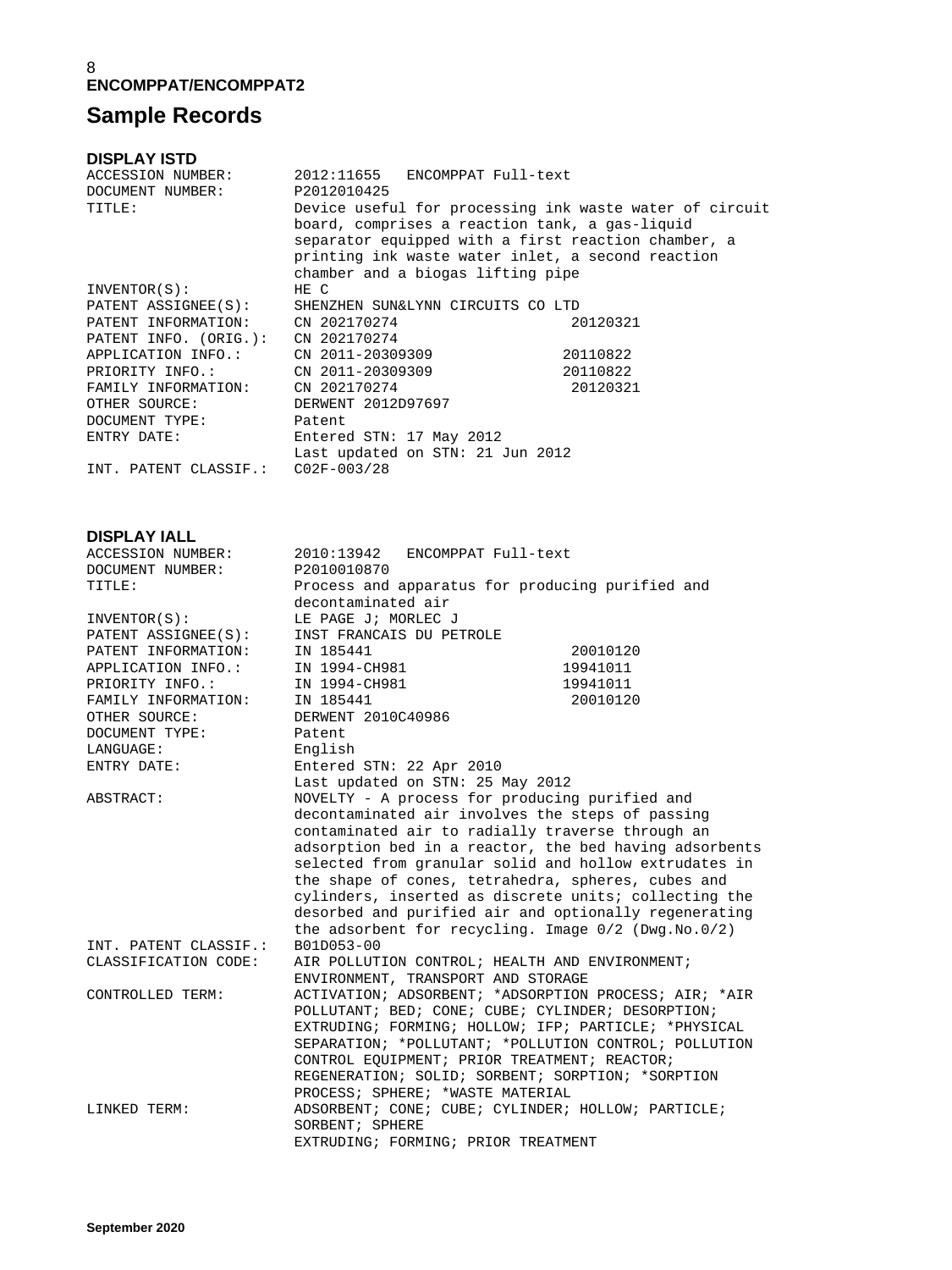## **Sample Records**

**DISPLAY ISTD** 2012:11655 ENCOMPPAT Full-text<br>P2012010425 DOCUMENT NUMBER:<br>TITLE: Device useful for processing ink waste water of circuit board, comprises a reaction tank, a gas-liquid separator equipped with a first reaction chamber, a printing ink waste water inlet, a second reaction chamber and a biogas lifting pipe  $INVENTOR(S):$ PATENT ASSIGNEE(S): SHENZHEN SUN&LYNN CIRCUITS CO LTD PATENT INFORMATION: CN 202170274 20120321 PATENT INFORMATION: CN 202170274<br>PATENT INFO. (ORIG.): CN 202170274<br>APPLICATION INFO APPLICATION INFO.: CN 2011-20309309 20110822 PRIORITY INFO.: CN 2011-20309309 20110822 FAMILY INFORMATION: CN 202170274 20120321 OTHER SOURCE: DERWENT 2012D97697 DOCUMENT TYPE: Patent ENTRY DATE: Entered STN: 17 May 2012 Last updated on STN: 21 Jun 2012 INT. PATENT CLASSIF.: C02F-003/28 **DISPLAY IALL** 2010:13942 ENCOMPPAT Full-text<br>P2010010870 DOCUMENT NUMBER:<br>TITLE: Process and apparatus for producing purified and<br>decontaminated air decontaminated air INVENTOR(S): LE PAGE J; MORLEC J PATENT ASSIGNEE(S): INST FRANCAIS DU PETROLE PATENT INFORMATION: IN 185441 20010120 APPLICATION INFO.: IN 1994-CH981 19941011 PRIORITY INFO.: IN 1994-CH981 19941011 FAMILY INFORMATION: IN 185441 20010120 OTHER SOURCE: DERWENT 2010C40986 DOCUMENT TYPE: Patent LANGUAGE: English ENTRY DATE: Entered STN: 22 Apr 2010 Last updated on STN: 25 May 2012<br>NOVELTY - A process for producing NOVELTY - A process for producing purified and decontaminated air involves the steps of passing contaminated air to radially traverse through an adsorption bed in a reactor, the bed having adsorbents selected from granular solid and hollow extrudates in the shape of cones, tetrahedra, spheres, cubes and cylinders, inserted as discrete units; collecting the desorbed and purified air and optionally regenerating the adsorbent for recycling. Image  $0/2$  (Dwg.No.0/2)<br>B01D053-00 INT. PATENT CLASSIF.:<br>CLASSIFICATION CODE: AIR POLLUTION CONTROL; HEALTH AND ENVIRONMENT; ENVIRONMENT, TRANSPORT AND STORAGE<br>CONTROLLED TERM: ACTIVATION; ADSORBENT; \*ADSORPTION ACTIVATION; ADSORBENT; \*ADSORPTION PROCESS; AIR; \*AIR POLLUTANT; BED; CONE; CUBE; CYLINDER; DESORPTION; EXTRUDING; FORMING; HOLLOW; IFP; PARTICLE; \*PHYSICAL SEPARATION; \*POLLUTANT; \*POLLUTION CONTROL; POLLUTION CONTROL EQUIPMENT; PRIOR TREATMENT; REACTOR; REGENERATION; SOLID; SORBENT; SORPTION; \*SORPTION PROCESS; SPHERE; \*WASTE MATERIAL LINKED TERM: ADSORBENT; CONE; CUBE; CYLINDER; HOLLOW; PARTICLE; SORBENT; SPHERE EXTRUDING; FORMING; PRIOR TREATMENT